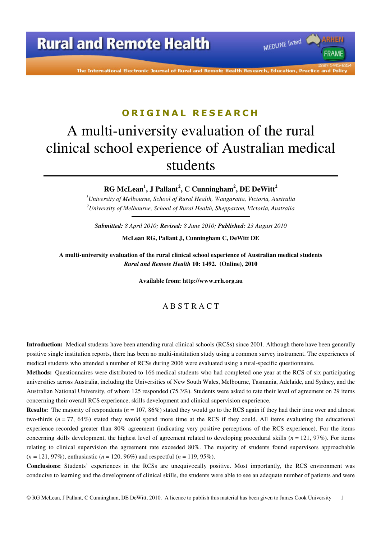The International Electronic Journal of Rural and Remote Health Research, Education, Practice and Polic

MEDLINE listed

**FRAME** 

### **O R I G I N A L R E S E A R C H**

# A multi-university evaluation of the rural clinical school experience of Australian medical students

**RG McLean<sup>1</sup> , J Pallant<sup>2</sup> , C Cunningham<sup>2</sup> , DE DeWitt<sup>2</sup>**

*<sup>1</sup>University of Melbourne, School of Rural Health, Wangaratta, Victoria, Australia <sup>2</sup>University of Melbourne, School of Rural Health, Shepparton, Victoria, Australia* 

*Submitted: 8 April 2010; Revised: 8 June 2010; Published: 23 August 2010*  **McLean RG, Pallant J, Cunningham C, DeWitt DE** 

**A multi-university evaluation of the rural clinical school experience of Australian medical students**  *Rural and Remote Health* **10: 1492. (Online), 2010** 

**Available from: http://www.rrh.org.au** 

#### A B S T R A C T

**Introduction:** Medical students have been attending rural clinical schools (RCSs) since 2001. Although there have been generally positive single institution reports, there has been no multi-institution study using a common survey instrument. The experiences of medical students who attended a number of RCSs during 2006 were evaluated using a rural-specific questionnaire.

**Methods:** Questionnaires were distributed to 166 medical students who had completed one year at the RCS of six participating universities across Australia, including the Universities of New South Wales, Melbourne, Tasmania, Adelaide, and Sydney, and the Australian National University, of whom 125 responded (75.3%). Students were asked to rate their level of agreement on 29 items concerning their overall RCS experience, skills development and clinical supervision experience.

**Results:** The majority of respondents ( $n = 107, 86\%$ ) stated they would go to the RCS again if they had their time over and almost two-thirds  $(n = 77, 64%)$  stated they would spend more time at the RCS if they could. All items evaluating the educational experience recorded greater than 80% agreement (indicating very positive perceptions of the RCS experience). For the items concerning skills development, the highest level of agreement related to developing procedural skills  $(n = 121, 97\%)$ . For items relating to clinical supervision the agreement rate exceeded 80%. The majority of students found supervisors approachable (*n* = 121, 97%), enthusiastic (*n* = 120, 96%) and respectful (*n* = 119, 95%).

**Conclusions:** Students' experiences in the RCSs are unequivocally positive. Most importantly, the RCS environment was conducive to learning and the development of clinical skills, the students were able to see an adequate number of patients and were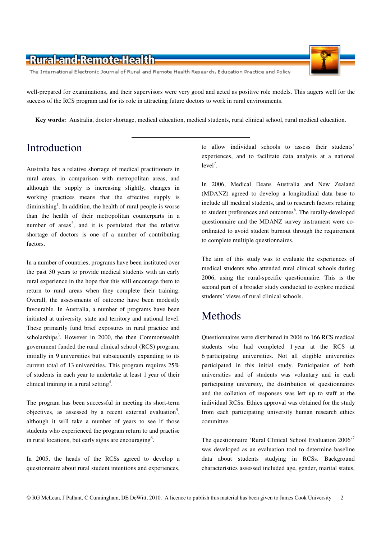The International Electronic Journal of Rural and Remote Health Research, Education Practice and Policy

success of the RCS program and for its role in attracting future doctors to work in rural environments.

well-prepared for examinations, and their supervisors were very good and acted as positive role models. This augers well for the

**Key words:** Australia, doctor shortage, medical education, medical students, rural clinical school, rural medical education.

# Introduction

Australia has a relative shortage of medical practitioners in rural areas, in comparison with metropolitan areas, and although the supply is increasing slightly, changes in working practices means that the effective supply is diminishing<sup>1</sup>. In addition, the health of rural people is worse than the health of their metropolitan counterparts in a number of areas<sup>2</sup>, and it is postulated that the relative shortage of doctors is one of a number of contributing factors.

In a number of countries, programs have been instituted over the past 30 years to provide medical students with an early rural experience in the hope that this will encourage them to return to rural areas when they complete their training. Overall, the assessments of outcome have been modestly favourable. In Australia, a number of programs have been initiated at university, state and territory and national level. These primarily fund brief exposures in rural practice and scholarships<sup>3</sup>. However in 2000, the then Commonwealth government funded the rural clinical school (RCS) program, initially in 9 universities but subsequently expanding to its current total of 13 universities. This program requires 25% of students in each year to undertake at least 1 year of their clinical training in a rural setting<sup>4</sup>.

The program has been successful in meeting its short-term objectives, as assessed by a recent external evaluation<sup>5</sup>, although it will take a number of years to see if those students who experienced the program return to and practise in rural locations, but early signs are encouraging<sup>6</sup>.

In 2005, the heads of the RCSs agreed to develop a questionnaire about rural student intentions and experiences, to allow individual schools to assess their students' experiences, and to facilitate data analysis at a national  $level<sup>7</sup>$ .

In 2006, Medical Deans Australia and New Zealand (MDANZ) agreed to develop a longitudinal data base to include all medical students, and to research factors relating to student preferences and outcomes<sup>8</sup>. The rurally-developed questionnaire and the MDANZ survey instrument were coordinated to avoid student burnout through the requirement to complete multiple questionnaires.

The aim of this study was to evaluate the experiences of medical students who attended rural clinical schools during 2006, using the rural-specific questionnaire. This is the second part of a broader study conducted to explore medical students' views of rural clinical schools.

### Methods

Questionnaires were distributed in 2006 to 166 RCS medical students who had completed 1 year at the RCS at 6 participating universities. Not all eligible universities participated in this initial study. Participation of both universities and of students was voluntary and in each participating university, the distribution of questionnaires and the collation of responses was left up to staff at the individual RCSs. Ethics approval was obtained for the study from each participating university human research ethics committee.

The questionnaire 'Rural Clinical School Evaluation 2006'<sup>7</sup> was developed as an evaluation tool to determine baseline data about students studying in RCSs. Background characteristics assessed included age, gender, marital status,

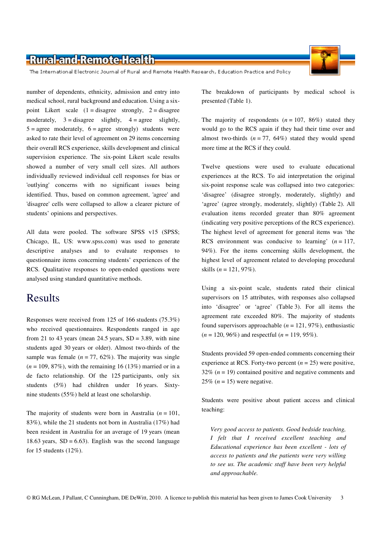The International Electronic Journal of Rural and Remote Health Research, Education Practice and Policy

number of dependents, ethnicity, admission and entry into medical school, rural background and education. Using a sixpoint Likert scale  $(1 = \text{disagree} \text{strongly}, 2 = \text{disagree}$ moderately,  $3 =$  disagree slightly,  $4 =$  agree slightly,  $5 = \text{agree}$  moderately,  $6 = \text{agree}$  strongly) students were asked to rate their level of agreement on 29 items concerning their overall RCS experience, skills development and clinical supervision experience. The six-point Likert scale results showed a number of very small cell sizes. All authors individually reviewed individual cell responses for bias or 'outlying' concerns with no significant issues being identified. Thus, based on common agreement, 'agree' and 'disagree' cells were collapsed to allow a clearer picture of students' opinions and perspectives.

All data were pooled. The software SPSS v15 (SPSS; Chicago, IL, US: www.spss.com) was used to generate descriptive analyses and to evaluate responses to questionnaire items concerning students' experiences of the RCS. Qualitative responses to open-ended questions were analysed using standard quantitative methods.

### Results

Responses were received from 125 of 166 students (75.3%) who received questionnaires. Respondents ranged in age from 21 to 43 years (mean 24.5 years,  $SD = 3.89$ , with nine students aged 30 years or older). Almost two-thirds of the sample was female  $(n = 77, 62\%)$ . The majority was single  $(n = 109, 87\%)$ , with the remaining 16 (13%) married or in a de facto relationship. Of the 125 participants, only six students (5%) had children under 16 years. Sixtynine students (55%) held at least one scholarship.

The majority of students were born in Australia  $(n = 101)$ , 83%), while the 21 students not born in Australia (17%) had been resident in Australia for an average of 19 years (mean 18.63 years,  $SD = 6.63$ . English was the second language for 15 students (12%).

The breakdown of participants by medical school is presented (Table 1).

The majority of respondents  $(n = 107, 86%)$  stated they would go to the RCS again if they had their time over and almost two-thirds  $(n = 77, 64\%)$  stated they would spend more time at the RCS if they could.

Twelve questions were used to evaluate educational experiences at the RCS. To aid interpretation the original six-point response scale was collapsed into two categories: 'disagree' (disagree strongly, moderately, slightly) and 'agree' (agree strongly, moderately, slightly) (Table 2). All evaluation items recorded greater than 80% agreement (indicating very positive perceptions of the RCS experience). The highest level of agreement for general items was 'the RCS environment was conducive to learning'  $(n = 117)$ , 94%). For the items concerning skills development, the highest level of agreement related to developing procedural skills (*n* = 121, 97%).

Using a six-point scale, students rated their clinical supervisors on 15 attributes, with responses also collapsed into 'disagree' or 'agree' (Table 3). For all items the agreement rate exceeded 80%. The majority of students found supervisors approachable  $(n = 121, 97\%)$ , enthusiastic (*n* = 120, 96%) and respectful (*n* = 119, 95%).

Students provided 59 open-ended comments concerning their experience at RCS. Forty-two percent  $(n = 25)$  were positive,  $32\%$  ( $n = 19$ ) contained positive and negative comments and  $25\%$  ( $n = 15$ ) were negative.

Students were positive about patient access and clinical teaching:

*Very good access to patients. Good bedside teaching, I felt that I received excellent teaching and Educational experience has been excellent - lots of access to patients and the patients were very willing to see us. The academic staff have been very helpful and approachable.*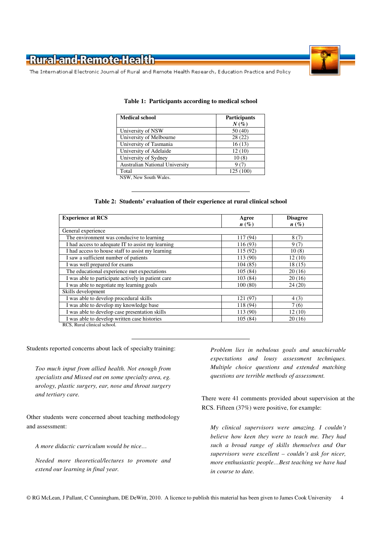

The International Electronic Journal of Rural and Remote Health Research, Education Practice and Policy

| <b>Medical school</b>                 | <b>Participants</b> |
|---------------------------------------|---------------------|
|                                       | $N(\%)$             |
| University of NSW                     | 50 (40)             |
| University of Melbourne               | 28(22)              |
| University of Tasmania                | 16(13)              |
| University of Adelaide                | 12(10)              |
| University of Sydney                  | 10(8)               |
| <b>Australian National University</b> | 9(7)                |
| Total                                 | 125(100)            |
| NSW, New South Wales.                 |                     |

#### **Table 1: Participants according to medical school**

#### **Table 2: Students' evaluation of their experience at rural clinical school**

| <b>Experience at RCS</b>                                                | Agree              | <b>Disagree</b> |
|-------------------------------------------------------------------------|--------------------|-----------------|
|                                                                         | $n\left(\%\right)$ | $n(\%)$         |
| General experience                                                      |                    |                 |
| The environment was conducive to learning                               | 117 (94)           | 8(7)            |
| I had access to adequate IT to assist my learning                       | 116 (93)           | 9(7)            |
| I had access to house staff to assist my learning                       | 115 (92)           | 10(8)           |
| I saw a sufficient number of patients                                   | 113 (90)           | 12(10)          |
| I was well prepared for exams                                           | 104(85)            | 18(15)          |
| The educational experience met expectations                             | 105(84)            | 20(16)          |
| I was able to participate actively in patient care                      | 103 (84)           | 20(16)          |
| I was able to negotiate my learning goals                               | 100(80)            | 24(20)          |
| Skills development                                                      |                    |                 |
| I was able to develop procedural skills                                 | 121 (97)           | 4(3)            |
| I was able to develop my knowledge base                                 | 118 (94)           | 7(6)            |
| I was able to develop case presentation skills                          | 113 (90)           | 12(10)          |
| I was able to develop written case histories<br><b>DOOD</b> 1 1 1 1 1 1 | 105(84)            | 20(16)          |

RCS, Rural clinical school.

#### Students reported concerns about lack of specialty training:

*Too much input from allied health. Not enough from specialists and Missed out on some specialty area, eg. urology, plastic surgery, ear, nose and throat surgery and tertiary care.* 

Other students were concerned about teaching methodology and assessment:

*A more didactic curriculum would be nice…* 

*Needed more theoretical/lectures to promote and extend our learning in final year.* 

*Problem lies in nebulous goals and unachievable expectations and lousy assessment techniques. Multiple choice questions and extended matching questions are terrible methods of assessment.* 

There were 41 comments provided about supervision at the RCS. Fifteen (37%) were positive, for example:

*My clinical supervisors were amazing. I couldn't believe how keen they were to teach me. They had such a broad range of skills themselves and Our supervisors were excellent – couldn't ask for nicer, more enthusiastic people…Best teaching we have had in course to date.*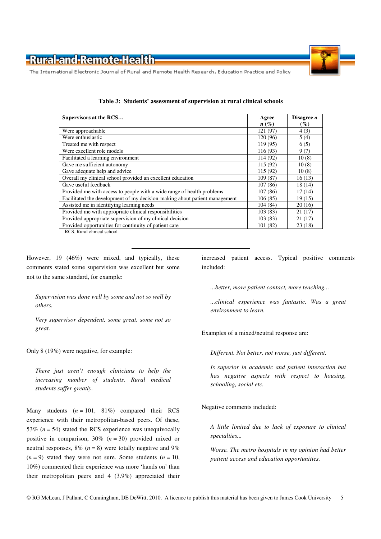

The International Electronic Journal of Rural and Remote Health Research, Education Practice and Policy

| Supervisors at the RCS                                                     | Agree              | Disagree $n$ |
|----------------------------------------------------------------------------|--------------------|--------------|
|                                                                            | $n\left(\%\right)$ | $(\%)$       |
| Were approachable                                                          | 121 (97)           | 4(3)         |
| Were enthusiastic                                                          | 120 (96)           | 5(4)         |
| Treated me with respect                                                    | 119 (95)           | 6(5)         |
| Were excellent role models                                                 | 116 (93)           | 9(7)         |
| Facilitated a learning environment                                         | 114 (92)           | 10(8)        |
| Gave me sufficient autonomy                                                | 115 (92)           | 10(8)        |
| Gave adequate help and advice                                              | 115 (92)           | 10(8)        |
| Overall my clinical school provided an excellent education                 | 109 (87)           | 16(13)       |
| Gave useful feedback                                                       | 107(86)            | 18 (14)      |
| Provided me with access to people with a wide range of health problems     | 107(86)            | 17(14)       |
| Facilitated the development of my decision-making about patient management | 106(85)            | 19(15)       |
| Assisted me in identifying learning needs                                  | 104(84)            | 20(16)       |
| Provided me with appropriate clinical responsibilities                     | 103(83)            | 21(17)       |
| Provided appropriate supervision of my clinical decision                   | 103(83)            | 21(17)       |
| Provided opportunities for continuity of patient care                      | 101(82)            | 23(18)       |
| RCS, Rural clinical school.                                                |                    |              |

**Table 3: Students' assessment of supervision at rural clinical schools** 

However, 19 (46%) were mixed, and typically, these comments stated some supervision was excellent but some not to the same standard, for example:

*Supervision was done well by some and not so well by others.* 

*Very supervisor dependent, some great, some not so great.* 

Only 8 (19%) were negative, for example:

*There just aren't enough clinicians to help the increasing number of students. Rural medical students suffer greatly.* 

Many students  $(n = 101, 81\%)$  compared their RCS experience with their metropolitan-based peers. Of these, 53%  $(n = 54)$  stated the RCS experience was unequivocally positive in comparison, 30% (*n* = 30) provided mixed or neutral responses,  $8\%$  ( $n = 8$ ) were totally negative and  $9\%$  $(n = 9)$  stated they were not sure. Some students  $(n = 10)$ , 10%) commented their experience was more 'hands on' than their metropolitan peers and 4 (3.9%) appreciated their

increased patient access. Typical positive comments included:

*...better, more patient contact, more teaching...* 

*...clinical experience was fantastic. Was a great environment to learn.*

Examples of a mixed/neutral response are:

*Different. Not better, not worse, just different.* 

*Is superior in academic and patient interaction but has negative aspects with respect to housing, schooling, social etc.*

Negative comments included:

*A little limited due to lack of exposure to clinical specialties...* 

*Worse. The metro hospitals in my opinion had better patient access and education opportunities.*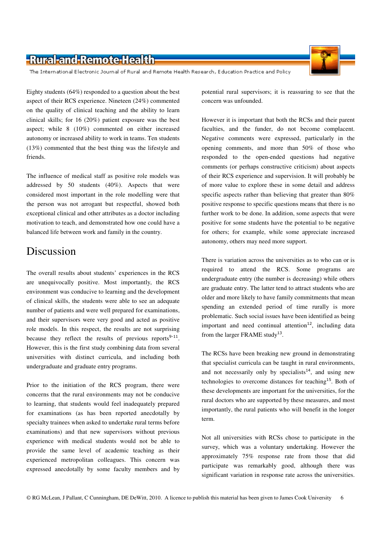The International Electronic Journal of Rural and Remote Health Research, Education Practice and Policy

Eighty students (64%) responded to a question about the best aspect of their RCS experience. Nineteen (24%) commented on the quality of clinical teaching and the ability to learn clinical skills; for 16 (20%) patient exposure was the best aspect; while 8 (10%) commented on either increased autonomy or increased ability to work in teams. Ten students (13%) commented that the best thing was the lifestyle and friends.

The influence of medical staff as positive role models was addressed by 50 students (40%). Aspects that were considered most important in the role modelling were that the person was not arrogant but respectful, showed both exceptional clinical and other attributes as a doctor including motivation to teach, and demonstrated how one could have a balanced life between work and family in the country.

### Discussion

The overall results about students' experiences in the RCS are unequivocally positive. Most importantly, the RCS environment was conducive to learning and the development of clinical skills, the students were able to see an adequate number of patients and were well prepared for examinations, and their supervisors were very good and acted as positive role models. In this respect, the results are not surprising because they reflect the results of previous reports $9-11$ . However, this is the first study combining data from several universities with distinct curricula, and including both undergraduate and graduate entry programs.

Prior to the initiation of the RCS program, there were concerns that the rural environments may not be conducive to learning, that students would feel inadequately prepared for examinations (as has been reported anecdotally by specialty trainees when asked to undertake rural terms before examinations) and that new supervisors without previous experience with medical students would not be able to provide the same level of academic teaching as their experienced metropolitan colleagues. This concern was expressed anecdotally by some faculty members and by

potential rural supervisors; it is reassuring to see that the concern was unfounded.

However it is important that both the RCSs and their parent faculties, and the funder, do not become complacent. Negative comments were expressed, particularly in the opening comments, and more than 50% of those who responded to the open-ended questions had negative comments (or perhaps constructive criticism) about aspects of their RCS experience and supervision. It will probably be of more value to explore these in some detail and address specific aspects rather than believing that greater than  $80\%$ positive response to specific questions means that there is no further work to be done. In addition, some aspects that were positive for some students have the potential to be negative for others; for example, while some appreciate increased autonomy, others may need more support.

There is variation across the universities as to who can or is required to attend the RCS. Some programs are undergraduate entry (the number is decreasing) while others are graduate entry. The latter tend to attract students who are older and more likely to have family commitments that mean spending an extended period of time rurally is more problematic. Such social issues have been identified as being important and need continual attention<sup>12</sup>, including data from the larger FRAME study<sup>13</sup>.

The RCSs have been breaking new ground in demonstrating that specialist curricula can be taught in rural environments, and not necessarily only by specialists<sup>14</sup>, and using new technologies to overcome distances for teaching<sup>15</sup>. Both of these developments are important for the universities, for the rural doctors who are supported by these measures, and most importantly, the rural patients who will benefit in the longer term.

Not all universities with RCSs chose to participate in the survey, which was a voluntary undertaking. However the approximately 75% response rate from those that did participate was remarkably good, although there was significant variation in response rate across the universities.

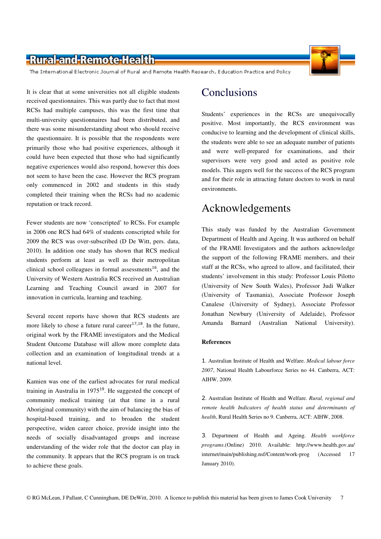The International Electronic Journal of Rural and Remote Health Research, Education Practice and Policy

It is clear that at some universities not all eligible students received questionnaires. This was partly due to fact that most RCSs had multiple campuses, this was the first time that multi-university questionnaires had been distributed, and there was some misunderstanding about who should receive the questionnaire. It is possible that the respondents were primarily those who had positive experiences, although it could have been expected that those who had significantly negative experiences would also respond, however this does not seem to have been the case. However the RCS program only commenced in 2002 and students in this study completed their training when the RCSs had no academic reputation or track record.

Fewer students are now 'conscripted' to RCSs. For example in 2006 one RCS had 64% of students conscripted while for 2009 the RCS was over-subscribed (D De Witt, pers. data, 2010). In addition one study has shown that RCS medical students perform at least as well as their metropolitan clinical school colleagues in formal assessments<sup>16</sup>, and the University of Western Australia RCS received an Australian Learning and Teaching Council award in 2007 for innovation in curricula, learning and teaching.

Several recent reports have shown that RCS students are more likely to chose a future rural career $17,18$ . In the future, original work by the FRAME investigators and the Medical Student Outcome Database will allow more complete data collection and an examination of longitudinal trends at a national level.

Kamien was one of the earliest advocates for rural medical training in Australia in 1975<sup>19</sup>. He suggested the concept of community medical training (at that time in a rural Aboriginal community) with the aim of balancing the bias of hospital-based training, and to broaden the student perspective, widen career choice, provide insight into the needs of socially disadvantaged groups and increase understanding of the wider role that the doctor can play in the community. It appears that the RCS program is on track to achieve these goals.

## Conclusions

Students' experiences in the RCSs are unequivocally positive. Most importantly, the RCS environment was conducive to learning and the development of clinical skills, the students were able to see an adequate number of patients and were well-prepared for examinations, and their supervisors were very good and acted as positive role models. This augers well for the success of the RCS program and for their role in attracting future doctors to work in rural environments.

# Acknowledgements

This study was funded by the Australian Government Department of Health and Ageing. It was authored on behalf of the FRAME Investigators and the authors acknowledge the support of the following FRAME members, and their staff at the RCSs, who agreed to allow, and facilitated, their students' involvement in this study: Professor Louis Pilotto (University of New South Wales), Professor Judi Walker (University of Tasmania), Associate Professor Joseph Canalese (University of Sydney), Associate Professor Jonathan Newbury (University of Adelaide), Professor Amanda Barnard (Australian National University).

#### **References**

1. Australian Institute of Health and Welfare. *Medical labour force 2007*, National Health Labourforce Series no 44. Canberra, ACT: AIHW, 2009.

2. Australian Institute of Health and Welfare. *Rural, regional and remote health Indicators of health status and determinants of health*, Rural Health Series no 9. Canberra, ACT: AIHW, 2008.

3. Department of Health and Ageing. *Health workforce programs*.(Online) 2010. Available: http://www.health.gov.au/ internet/main/publishing.nsf/Content/work-prog (Accessed 17 January 2010).